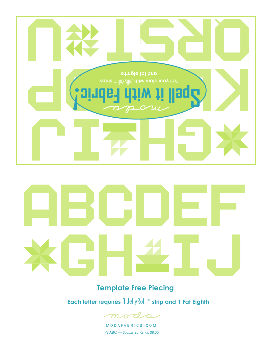

### **Template Free Piecing**

**Each letter requires 1**JellyRoll™ **strip and 1 Fat Eighth**



MODAFABRICS.COM PS ABC — SUGGESTED RETAIL \$8.00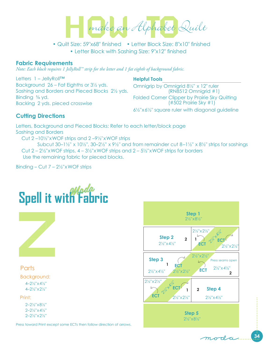make an Alphabet Quilt

 • Letter Block with Sashing Size: 9"x12" finished • Quilt Size: 59"x68" finished • Letter Block Size: 8"x10" finished

#### **Fabric Requirements**

*Note: Each block requires 1 JellyRoll™ strip for the letter and 1 fat eighth of background fabric.*

Letters 1 – JellyRoll™ Background 26 – Fat Eighths or 3½ yds. Sashing and Borders and Pieced Blocks 2½ yds. Binding ⅝ yd. Backing 2 yds. pieced crosswise

#### **Helpful Tools**

Omnigrip by Omnigrid 8½" x 12" ruler (RN8512 Omnigrid #1) Folded Corner Clipper by Prairie Sky Quilting  $(#502$  Prairie Sky  $#1)$ 

6½"x6½" square ruler with diagonal guideline

### **Cutting Directions**

Letters, Background and Pieced Blocks: Refer to each letter/block page Sashing and Borders

Cut 2 –10½"xWOF strips and 2 –9½"xWOF strips

Subcut 30–1 $\frac{1}{2}$ " x 10 $\frac{1}{2}$ ", 30–2 $\frac{1}{2}$ " x 9 $\frac{1}{2}$ " and from remainder cut 8–1 $\frac{1}{2}$ " x 8 $\frac{1}{2}$ " strips for sashings Cut 2 – 2½"xWOF strips, 4 – 3½"xWOF strips and 2 – 5½"xWOF strips for borders Use the remaining fabric for pieced blocks.

Binding – Cut  $7 - 2\frac{1}{2}$ "xWOF strips

# **Spell it with Fabric**



### **Parts**

Background: 4–2½"x4½" 4–2½"x2½"

#### Print:

2–2½"x8½" 2–2½"x4½" 2–2½"x2½"

Press toward Print except some ECTs then follow direction of arrows.



moda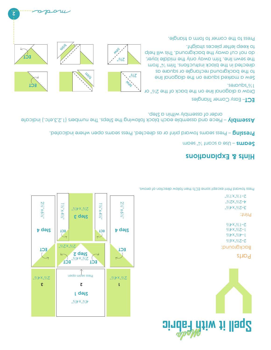

### **Hints & Explanations**

– Use a scant ¼" seam **Seams** 

– Press seams toward print or as directed. Press seams open where indicated. **Pressing** 

– Piece and assemble each block following the Steps. The numbers (1,2,3,etc.) indicate **Assembly**  order of assembly within a Step.

**May** 

Mas ,  $\frac{1}{2}$ %

 $\frac{z}{z}$ 

 $\frac{d\mu_{\ell}}{d}$ 

– Easy Corner Triangles **ECT**

Draw a diagonal line on the back of the 2½" or 1½"squares.

Sew a marked square on the diagonal line to the background rectangle or square as directed in the block instructions and  $N$  from the sewn line. Trim away only the middle layer, do not cut away the background. This will help to keep letter pieces straight.

Press to the corner to form a triangle.



trim

**2**

**ECT**

**ECT**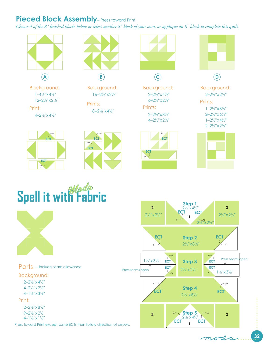### **Pieced Block Assembly** – Press toward Print

*Choose 4 of the 8" finished blocks below or select another 8" block of your own, or applique an 8" block to complete this quilt.*



Background:  $1-4\frac{1}{2}$ "  $\times$   $4\frac{1}{2}$ " 12–2½"x2½"

Print:

4–2½"x4½"



**B**

Background: 16–2½"x2½"

Prints: 8–2½"x4½"



**C**

Background: 2–2½"x4½" 6–2½"x2½"

Prints: 2–2½"x8½" 4–2½"x2½"













Parts — include seam allowance

#### Background:

2–2½"x4½" 4–2½"x2½" 4–1½"x3½"

#### Print:

2–2½"x8½" 9–2½"x2½ 4–1½"x1½"

Press toward Print except some ECTs then follow direction of arrows.

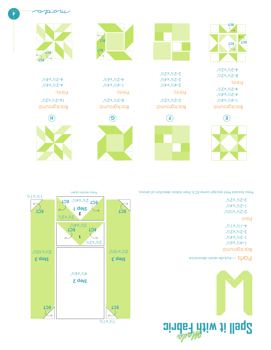



Background: "x6x"x6x" 1–2½"x4½" 2–2½"x2½" 4–1½"x1½" Print:

2–2½"x10½" 1–2½"x4½" 2–2½"x2½"

Press toward Print except same Press toward precise to princ are more compared by the some some  $\alpha$ 



 $\frac{1}{2}$  x<sub>1</sub>  $\frac{1}{2}$ 

**ECT**

 $\frac{1}{2}$ % $\frac{1}{2}$ % $\frac{1}{2}$ 

 $2^{18}$ "x10<sup>1</sup> $\frac{1}{2}$ "x10<sup>1</sup> $\frac{1}{2}$ "x10<sup>1</sup> $\frac{1}{2}$ "x10<sup>1</sup> $\frac{1}{2}$ "x10<sup>1</sup> $\frac{1}{2}$ "x10<sup>1</sup>

**1**

 $Z_1$   $Z_1$   $Z_2$ **ECT**

**Step 3 Step 3 Step 3 Step 3 Step 3 Step 3 Step 3 Step 3 Step 3 Step 3 Step 3 Step 3 Step 3 Step 3 Step 3 Step 3 Step 3 Step 3 Step 3 Step 3 Step 3 Step 3 Step 3 Step 3 Step** 

**Step 1**

ECT **EQUATE:** 

**2**

2½"x4½" **ECT ECT**

2½"x2½

q

**ECT**

 $3/1$  X<sub>1</sub>3/<sub>1</sub>

**ECT**

..%YeX,.%

**Step 2**

Background: **H**

Prints: 4–2½"x4½" 4–2½"x4½" 16–2½"x2½"



**G**

Background: 8–2½"x2½"

Prints: 1–4<sup>1</sup>/2<sup>m</sup> x 4<sup>1</sup>/2<sup>m</sup> w<sup>2</sup>/2<sup>™</sup>





**F**

Background:  $Z-S_1Y_0X_1Y_0$ 

Prints: 2–4½"x4½" 2–2½"x4½"  $Z-S_1Y_0X_1Y_0$ 





**E**

Prints: 8–2½"x2½" Background: 1–4½"x4½" 4–2½"x4½" 4–2½"x2½"

ECT<br>M **ECT ECT**

4–2½"x2½"

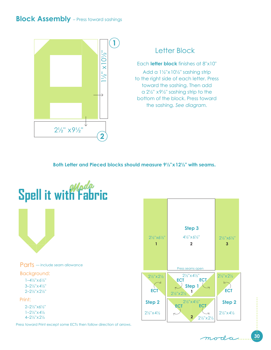### **Block Assembly** – Press toward sashings



### Letter Block

Each **letter block** finishes at 8"x10"

Add a 1½"x10½" sashing strip to the right side of each letter. Press toward the sashing. Then add a 2½" x9½" sashing strip to the bottom of the block. Press toward the sashing. *See diagram.*

**Both Letter and Pieced blocks should measure 9½"x12½" with seams.**



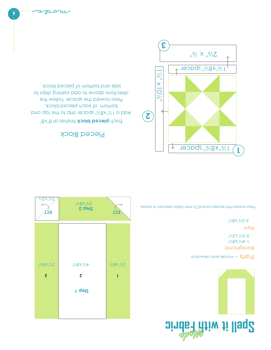





Print: Background: 1–4½"x8½" 2–2½"x2½"

3–2½"x8½"

Press toward Print except some ECTs then follow direction of arrows.

### Pieced Block

 $2\sqrt[3]{3}$   $X8\sqrt[3]{3}$ 

Each **pieced block** finishes at 8"x8" Add a 1<sup>½"x8</sup>%" spacer strip to the top and bottom of each pieced block. Press toward the spacer. Follow the directions above to add sashing strips to side and bottom of pieced block.



 $Z_1$ % $Z_2$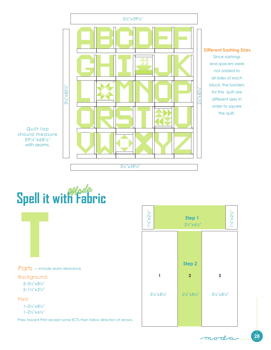

Parts — include seam allowance

Background:

2–3½"x8½" 2–1½"x2½"

#### Print:

1–2½"x8½" 1–2½"x6½"

Press toward Print except some ECTs then follow direction of arrows.

| $1\frac{1}{2}x2\frac{1}{2}$              | Step 1<br>$2\frac{1}{2}x6\frac{1}{2}$ " | $1\frac{ V_2 }{2} \times 2\frac{ V_2 }{2}$ |
|------------------------------------------|-----------------------------------------|--------------------------------------------|
|                                          |                                         |                                            |
| 1                                        | Step 2<br>$\overline{2}$                | $\mathbf{3}$                               |
| $3\frac{1}{2}$ " $\times 8\frac{1}{2}$ " | $2\frac{1}{2}$ "x81/2"                  | $3\frac{1}{2}x8\frac{1}{2}$                |
|                                          |                                         |                                            |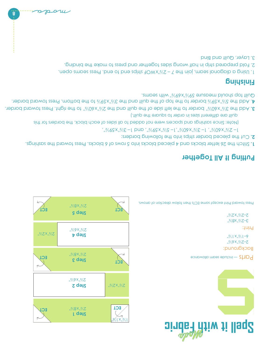



Background: 2–2½"x6½"  $.7/1$   $X.7/1 - 9$ 

Print:

3–2½"x8½" 2–2½"x2½"

Press toward Print except some ECTs then follow direction of arrows.

### **Putting It All Together**

Stitch the 26 letter blocks and 4 pieced blocks into 5 rows of 6 blocks. Press toward the sashings. **1.**

Cut the pieced border strips into the following borders: **2.**

1– 2½"x60½", 1– 3½"x60½",1– 5½"x59½", and 1– 3½"x59½",

(Note: Since sashings and spacers were not added to all sides of each block, the borders for this

 quilt are different sizes in order to square the quilt.) . Add the 3½"x60½" border to the left side of the quilt and the 2½"x60½" to the right. Press toward border **3.**

**ECT**

..%"x2%"

 $\lq \mid X \rceil$ 

**ECT**

**ECT**

. . Add the 5½"x59½ border to the top of the quilt and the 3½"x59½ to the bottom. Press toward border **4** Quilt top should measure 59½"x69½" with seams.

### **Finishing**

1. Using a diagonal seam, join the 7 - 2<sup>y</sup>. Y North strips end to end, these seams cheapter in 2. Fold prepared strip in half wrong sides together and press to make the binding. 3. Layer, Quilt and Bind

**Step 1**

..%"x8x"

 $2\sqrt[3]{3}$  x 9 $\sqrt[3]{2}$ 

**Step 2**

..%x8x

**Step 5**

..%"x6%"

**Step 4**

..%"x8x"

**Step 3**

**ECT**

**ECT**

**ECT**

7%"x2%"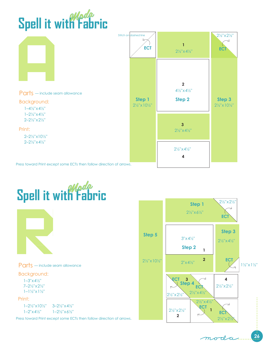|  | Spell it with Fabric |
|--|----------------------|

|                                                                                                                                                                                                                                                             | Stitch on dashed line<br><b>ECT</b>    | $2\frac{1}{2}x4\frac{1}{2}$                                                                                                                           | $2\frac{1}{2}x^{2}\frac{1}{2}$<br><b>ECT</b>    |
|-------------------------------------------------------------------------------------------------------------------------------------------------------------------------------------------------------------------------------------------------------------|----------------------------------------|-------------------------------------------------------------------------------------------------------------------------------------------------------|-------------------------------------------------|
| Parts - include seam allowance<br>Background:<br>$1 - 4\frac{1}{2}x 4\frac{1}{2}$<br>$1 - 2\frac{1}{2}x$ + $4\frac{1}{2}$<br>$2 - 2\frac{1}{2}x^{2}\times 2\frac{1}{2}x$<br>Print:<br>$2 - 2\frac{1}{2}x10\frac{1}{2}$<br>$2 - 2\frac{1}{2}x + \frac{4}{2}$ | Step 1<br>$2\frac{1}{2}x10\frac{1}{2}$ | $\overline{\mathbf{2}}$<br>$4\frac{1}{2}x4\frac{1}{2}$<br>Step 2<br>$\overline{3}$<br>$2\frac{1}{2}x4\frac{1}{2}$<br>$2\frac{1}{2}x4\frac{1}{2}$<br>4 | Step 3<br>$2\frac{1}{2}$ " x 10 $\frac{1}{2}$ " |
| Press toward Print except some ECTs then follow direction of arrows.                                                                                                                                                                                        |                                        |                                                                                                                                                       |                                                 |



Parts — include seam allowance

#### Background:

7–2½"x2½"  $1-1\frac{1}{2}x1\frac{1}{2}$ "

#### Print:

1–2½"x10½" 1–2"x4½"  $1-2\frac{1}{2}x\frac{6}{2}$ 3–2½"x4½"

Press toward Print except some ECTs then follow direction of arrows.



#### **26** moda.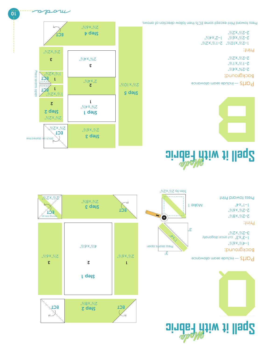

## **Spell it with Fabric** Moda



Parts — include seam allowance

Print: "%ZX"%L—Z "%OIX"%Z—I 7–2½"x6%" ן−Σ<sub>יי</sub>×ל<sub>ו</sub>י Background: 2–2¾"x4½" 2–1½"x1½" 2–2½"x2½"

2–2½"x2½"

Press toward Print except some ECTs then follow direction of arrows.

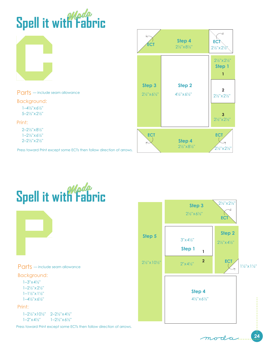|  | Spell it with Fabric |
|--|----------------------|
|--|----------------------|

|                                                                                                                                                                                                          | ECT                                              | Step 4<br>$2\frac{1}{2}$ "x81/2"             | EC1<br>$2\frac{1}{2}x^{2}\times 2\frac{1}{2}x^{1}$                                               |
|----------------------------------------------------------------------------------------------------------------------------------------------------------------------------------------------------------|--------------------------------------------------|----------------------------------------------|--------------------------------------------------------------------------------------------------|
|                                                                                                                                                                                                          |                                                  |                                              | $2\frac{1}{2}$ " $\times 2\frac{1}{2}$ "<br>Step 1                                               |
| Parts - include seam allowance<br>Background:<br>$1 - 4\frac{1}{2}x + \frac{61}{2}$<br>5-21/2" x 21/2"<br>Print:                                                                                         | Step 3<br>$2\frac{1}{2}x\frac{1}{2}x\frac{1}{2}$ | Step 2<br>$4\frac{1}{2}x6\frac{1}{2}$        | $\mathfrak{p}$<br>$2\frac{1}{2}x^{2}\times 2\frac{1}{2}x$<br>$2\frac{1}{2}$ " x $2\frac{1}{2}$ " |
| $2 - 2\frac{1}{2}$ " $\times 8\frac{1}{2}$ "<br>$1 - 2\frac{1}{2}x + \frac{1}{2}$<br>$2 - 2\frac{1}{2}x^{2}\times 2\frac{1}{2}x$<br>Press toward Print except some ECTs then follow direction of arrows. | <b>ECT</b>                                       | Step 4<br>$2\frac{1}{2}$ "x8 $\frac{1}{2}$ " | <b>ECT</b><br>$2\frac{1}{2}$ x $2\frac{1}{2}$ "                                                  |



Parts — include seam allowance

#### Background:

1–3"x4½" 1–2½"x2½" 1–1½"x1½"  $1-4\frac{1}{2}x6\frac{1}{2}$ "

#### Print:

1–2½"x10½" 2–2½"x4½"  $1 - 2'' \times 4' / 2''$  $1-2\frac{1}{2}x_0 + \frac{1}{2}x_1$ 

Press toward Print except some ECTs then follow direction of arrows.

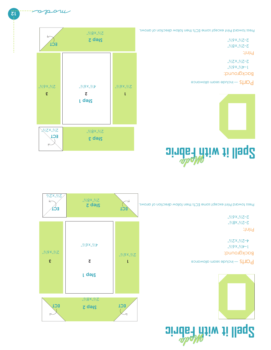



Background: 1–4<sup>1</sup>%"x6<sup>1</sup>%" 4–2½"x2½"

#### Print:

2–2½"x8½" 2–2½"x6½"

Press toward Print except some ECTs then follow direction of arrows.



 $\begin{array}{c|c}\n\diagup \diagdown \right\}\n\end{array}$  **Eqs.** 

**ECT ECT Step 2**

..%XBX,..%

**Step 1**

**3 2 1**

 $2\sqrt[3]{3}$ 

"x6x"x"

 $2\frac{1}{2}\sqrt{8}$  x 8 $\frac{1}{2}\sqrt{8}$ 

2½"x2½

..%"x6%"

# **Spell it with Fabric** Moda



Parts — include seam allowance

Background: 1–4<sup>1</sup>%"x6<sup>2</sup>" 2–2½"x2½"

2–2½"x6½"

Print: 2–2½"x8½"

Press toward Print except some ECTs then follow direction of arrows.

 $\left[\ddot{z}\ddot{\text{i}}\right]$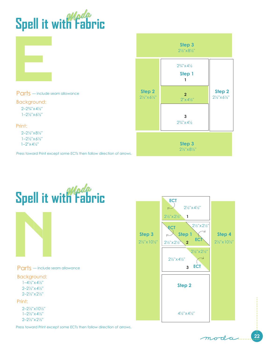

|                                                                                                   | Step 3<br>$2\frac{1}{2}$ "x81/2"        |                                              |                                                            |
|---------------------------------------------------------------------------------------------------|-----------------------------------------|----------------------------------------------|------------------------------------------------------------|
|                                                                                                   |                                         | $2\frac{3}{4}$ x 4 $\frac{1}{2}$<br>Step 1   |                                                            |
| Parts - include seam allowance                                                                    | Step 2<br>$2\frac{1}{2}x6\frac{1}{2}$ " | $\overline{2}$<br>2"x4'2"                    | Step 2<br>$2\frac{1}{2}x_0 + x_1 + x_2 = 2x_1 + x_2 + x_3$ |
| Background:<br>$2 - 2\frac{3}{4}x + \frac{1}{2}$                                                  |                                         |                                              |                                                            |
| $1 - 2\frac{1}{2}x + \frac{1}{2}$                                                                 |                                         | 3                                            |                                                            |
| Print:                                                                                            |                                         | $2\frac{3}{4}$ $\times$ 4 $\frac{1}{2}$      |                                                            |
| $2 - 2\frac{1}{2}$ " $\times 8\frac{1}{2}$ "<br>$1 - 2\frac{1}{2}x + \frac{1}{2}$                 |                                         |                                              |                                                            |
| $1 - 2'' \times 4' / 2''$<br>Press toward Print except some ECTs then follow direction of arrows. |                                         | Step 3<br>$2\frac{1}{2}$ "x8 $\frac{1}{2}$ " |                                                            |



Parts — include seam allowance

Background: 2–2½"x4½" 2–2½"x2½"  $1-4\frac{1}{2}x4\frac{1}{2}$ "

#### Print:

2–2½"x10½" 1–2½"x4½" 2–2½"x2½"

Press toward Print except some ECTs then follow direction of arrows.



**22** moda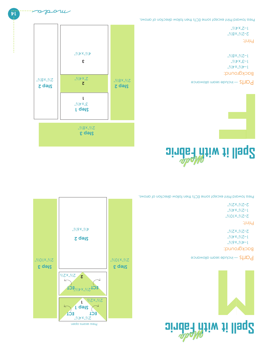





Background:  $1-\frac{1}{2}$ / $\frac{1}{2}$ / $\frac{1}{2}$ / $\frac{1}{2}$ / $\frac{1}{2}$ / $\frac{1}{2}$ 1–2½"x4½"

2–2½"x2½"

Print:

2–2½"x10½" 1–2½"x4½" 2–2½"x2½"

Press toward Print except some ECTs then follow direction of arrows.



# **Spell it with Fabric** Moda

Parts — include seam allowance

Background: 1–4½"x4½"  $1 - 3''$  $x^2 + 2''$  $1 - 5\frac{1}{2}$ % $8\frac{1}{2}$ %

Print: 2–2½"x8½"

 $1 - 5$ " $\times 4$ <sup>2</sup>"

Press toward Print except some ECTs then follow direction of arrows.

...........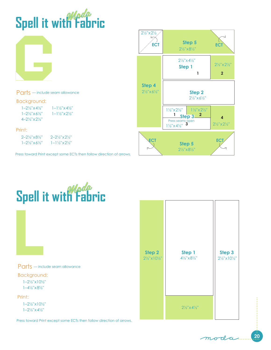





1–2½"x10½" 1–2½"x4½"

Press toward Print except some ECTs then follow direction of arrows.

**20** moda.

 $2\frac{1}{2}$ " x 4 $\frac{1}{2}$ "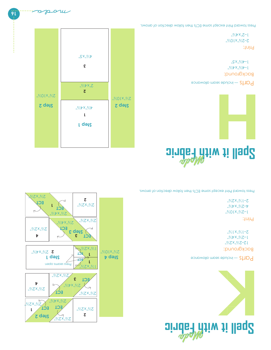



**1**

**ECT**

 $Z_1$ 

**ECT**

2½"x4½"



Background: 12–2½"x2½" 1–2<sup>1</sup>/2<sup>m</sup> 2–1½"x1½"

#### Print:

 $1 - 5\sqrt[3]{10}$   $N_{\rm n}$ " V-2" X 4' V" 2–1½"x2½"

Press toward Print except some ECTs then follow direction of arrows.



**2**

2½"x2½"

# **Spell it with Fabric** Moda

Parts — include seam allowance

Background:  $1-\frac{1}{2}\sqrt[3]{\sqrt[3]{2}}$  $1-\frac{1}{2}$ % $\frac{1}{2}X_{1}X_{2}$ 

Print: 2–2½"x10½"

 $1-5$ " $\times$ 4 $\frac{1}{2}$ "

Press toward Print except some ECTs then follow direction of arrows.